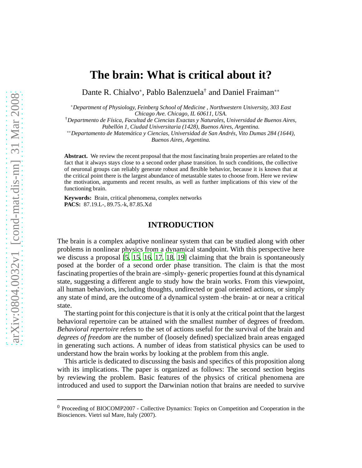# arXiv:0804.0032v1 [cond-mat.dis-nn] 31 Mar 2008 [arXiv:0804.0032v1 \[cond-mat.dis-nn\] 31 Mar 2008](http://arxiv.org/abs/0804.0032v1)

# **The brain: What is critical about it?**

Dante R. Chialvo<sup>∗</sup>, Pablo Balenzuela<sup>†</sup> and Daniel Fraiman<sup>∗∗</sup>

<sup>∗</sup>*Department of Physiology, Feinberg School of Medicine , Northwestern University, 303 East Chicago Ave. Chicago, IL 60611, USA.*

†*Departmento de Física, Facultad de Ciencias Exactas y Naturales, Universidad de Buenos Aires, Pabellón 1, Ciudad Universitaria (1428), Buenos Aires, Argentina.*

∗∗*Departamento de Matemática y Ciencias, Universidad de San Andrés, Vito Dumas 284 (1644), Buenos Aires, Argentina.*

**Abstract.** We review the recent proposal that the most fascinating brain properties are related to the fact that it always stays close to a second order phase transition. In such conditions, the collective of neuronal groups can reliably generate robust and flexible behavior, because it is known that at the critical point there is the largest abundance of metastable states to choose from. Here we review the motivation, arguments and recent results, as well as further implications of this view of the functioning brain.

**Keywords:** Brain, critical phenomena, complex networks **PACS:** 87.19.L-, 89.75.-k, 87.85.Xd

# **INTRODUCTION**

The brain is a complex adaptive nonlinear system that can be studied along with other problems in nonlinear physics from a dynamical standpoint. With this perspective here we discuss a proposal [\[5,](#page-16-0) [15,](#page-17-0) [16](#page-17-1), [17](#page-17-2), [18](#page-17-3), [19](#page-17-4)] claiming that the brain is spontaneously posed at the border of a second order phase transition. The claim is that the most fascinating properties of the brain are -simply- generic properties found at this dynamical state, suggesting a different angle to study how the brain works. From this viewpoint, all human behaviors, including thoughts, undirected or goal oriented actions, or simply any state of mind, are the outcome of a dynamical system -the brain- at or near a critical state.

The starting point for this conjecture is that it is only at the critical point that the largest behavioral repertoire can be attained with the smallest number of degrees of freedom. *Behavioral repertoire* refers to the set of actions useful for the survival of the brain and *degrees of freedom* are the number of (loosely defined) specialized brain areas engaged in generating such actions. A number of ideas from statistical physics can be used to understand how the brain works by looking at the problem from this angle.

This article is dedicated to discussing the basis and specifics of this proposition along with its implications. The paper is organized as follows: The second section begins by reviewing the problem. Basic features of the physics of critical phenomena are introduced and used to support the Darwinian notion that brains are needed to survive

 $<sup>0</sup>$  Proceeding of BIOCOMP2007 - Collective Dynamics: Topics on Competition and Cooperation in the</sup> Biosciences. Vietri sul Mare, Italy (2007).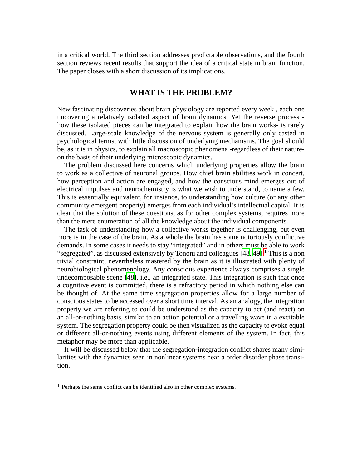in a critical world. The third section addresses predictable observations, and the fourth section reviews recent results that support the idea of a critical state in brain function. The paper closes with a short discussion of its implications.

#### **WHAT IS THE PROBLEM?**

New fascinating discoveries about brain physiology are reported every week , each one uncovering a relatively isolated aspect of brain dynamics. Yet the reverse process how these isolated pieces can be integrated to explain how the brain works- is rarely discussed. Large-scale knowledge of the nervous system is generally only casted in psychological terms, with little discussion of underlying mechanisms. The goal should be, as it is in physics, to explain all macroscopic phenomena -regardless of their natureon the basis of their underlying microscopic dynamics.

The problem discussed here concerns which underlying properties allow the brain to work as a collective of neuronal groups. How chief brain abilities work in concert, how perception and action are engaged, and how the conscious mind emerges out of electrical impulses and neurochemistry is what we wish to understand, to name a few. This is essentially equivalent, for instance, to understanding how culture (or any other community emergent property) emerges from each individual's intellectual capital. It is clear that the solution of these questions, as for other complex systems, requires more than the mere enumeration of all the knowledge about the individual components.

The task of understanding how a collective works together is challenging, but even more is in the case of the brain. As a whole the brain has some notoriously conflictive demands. In some cases it needs to stay "integrated" and in others must be able to work "segregated", as discussed extensively by Tononi and colleagues  $[48, 49]$  $[48, 49]$  $[48, 49]$ .<sup>[1](#page-1-0)</sup> This is a non trivial constraint, nevertheless mastered by the brain as it is illustrated with plenty of neurobiological phenomenology. Any conscious experience always comprises a single undecomposable scene [\[48\]](#page-18-0), i.e., an integrated state. This integration is such that once a cognitive event is committed, there is a refractory period in which nothing else can be thought of. At the same time segregation properties allow for a large number of conscious states to be accessed over a short time interval. As an analogy, the integration property we are referring to could be understood as the capacity to act (and react) on an all-or-nothing basis, similar to an action potential or a travelling wave in a excitable system. The segregation property could be then visualized as the capacity to evoke equal or different all-or-nothing events using different elements of the system. In fact, this metaphor may be more than applicable.

It will be discussed below that the segregation-integration conflict shares many similarities with the dynamics seen in nonlinear systems near a order disorder phase transition.

<span id="page-1-0"></span> $<sup>1</sup>$  Perhaps the same conflict can be identified also in other complex systems.</sup>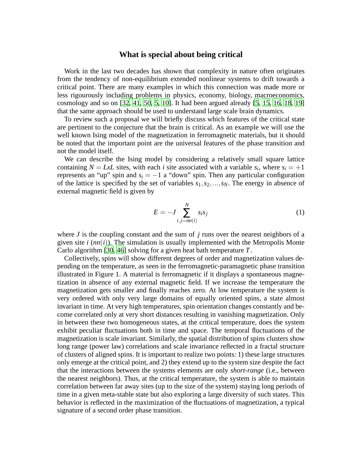#### **What is special about being critical**

Work in the last two decades has shown that complexity in nature often originates from the tendency of non-equilibrium extended nonlinear systems to drift towards a critical point. There are many examples in which this connection was made more or less rigourously including problems in physics, economy, biology, macroeconomics, cosmology and so on [\[32,](#page-17-5) [41](#page-18-2), [50](#page-18-3), [5,](#page-16-0) [10\]](#page-16-1). It had been argued already [\[5,](#page-16-0) [15](#page-17-0), [16,](#page-17-1) [18,](#page-17-3) [19](#page-17-4)] that the same approach should be used to understand large scale brain dynamics.

To review such a proposal we will briefly discuss which features of the critical state are pertinent to the conjecture that the brain is critical. As an example we will use the well known Ising model of the magnetization in ferromagnetic materials, but it should be noted that the important point are the universal features of the phase transition and not the model itself.

We can describe the Ising model by considering a relatively small square lattice containing  $N = LxL$  sites, with each *i* site associated with a variable  $s_i$ , where  $s_i = +1$ represents an "up" spin and  $s_i = -1$  a "down" spin. Then any particular configuration of the lattice is specified by the set of variables *s*1,*s*2,...,*sN*. The energy in absence of external magnetic field is given by

$$
E = -J \sum_{i,j=nn(i)}^{N} s_i s_j \tag{1}
$$

where *J* is the coupling constant and the sum of *j* runs over the nearest neighbors of a given site  $i$  ( $nn(i)$ ). The simulation is usually implemented with the Metropolis Monte Carlo algorithm [\[30,](#page-17-6) [46\]](#page-18-4) solving for a given heat bath temperature *T*.

Collectively, spins will show different degrees of order and magnetization values depending on the temperature, as seen in the ferromagnetic-paramagnetic phase transition illustrated in Figure 1. A material is ferromagnetic if it displays a spontaneous magnetization in absence of any external magnetic field. If we increase the temperature the magnetization gets smaller and finally reaches zero. At low temperature the system is very ordered with only very large domains of equally oriented spins, a state almost invariant in time. At very high temperatures, spin orientation changes constantly and become correlated only at very short distances resulting in vanishing magnetization. Only in between these two homogeneous states, at the critical temperature, does the system exhibit peculiar fluctuations both in time and space. The temporal fluctuations of the magnetization is scale invariant. Similarly, the spatial distribution of spins clusters show long range (power law) correlations and scale invariance reflected in a fractal structure of clusters of aligned spins. It is important to realize two points: 1) these large structures only emerge at the critical point, and 2) they extend up to the system size despite the fact that the interactions between the systems elements are only *short-range* (i.e., between the nearest neighbors). Thus, at the critical temperature, the system is able to maintain correlation between far away sites (up to the size of the system) staying long periods of time in a given meta-stable state but also exploring a large diversity of such states. This behavior is reflected in the maximization of the fluctuations of magnetization, a typical signature of a second order phase transition.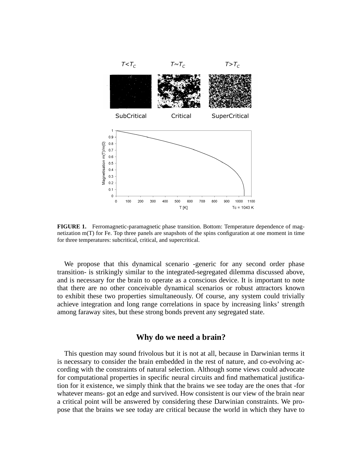

**FIGURE 1.** Ferromagnetic-paramagnetic phase transition. Bottom: Temperature dependence of magnetization m(T) for Fe. Top three panels are snapshots of the spins configuration at one moment in time for three temperatures: subcritical, critical, and supercritical.

We propose that this dynamical scenario -generic for any second order phase transition- is strikingly similar to the integrated-segregated dilemma discussed above, and is necessary for the brain to operate as a conscious device. It is important to note that there are no other conceivable dynamical scenarios or robust attractors known to exhibit these two properties simultaneously. Of course, any system could trivially achieve integration and long range correlations in space by increasing links' strength among faraway sites, but these strong bonds prevent any segregated state.

#### **Why do we need a brain?**

This question may sound frivolous but it is not at all, because in Darwinian terms it is necessary to consider the brain embedded in the rest of nature, and co-evolving according with the constraints of natural selection. Although some views could advocate for computational properties in specific neural circuits and find mathematical justification for it existence, we simply think that the brains we see today are the ones that -for whatever means- got an edge and survived. How consistent is our view of the brain near a critical point will be answered by considering these Darwinian constraints. We propose that the brains we see today are critical because the world in which they have to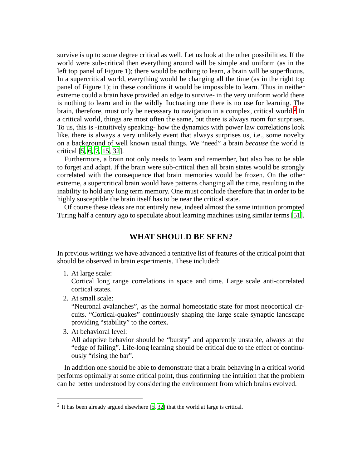survive is up to some degree critical as well. Let us look at the other possibilities. If the world were sub-critical then everything around will be simple and uniform (as in the left top panel of Figure 1); there would be nothing to learn, a brain will be superfluous. In a supercritical world, everything would be changing all the time (as in the right top panel of Figure 1); in these conditions it would be impossible to learn. Thus in neither extreme could a brain have provided an edge to survive- in the very uniform world there is nothing to learn and in the wildly fluctuating one there is no use for learning. The brain, therefore, must only be necessary to navigation in a complex, critical world.<sup>[2](#page-4-0)</sup> In a critical world, things are most often the same, but there is always room for surprises. To us, this is -intuitively speaking- how the dynamics with power law correlations look like, there is always a very unlikely event that always surprises us, i.e., some novelty on a background of well known usual things. We "need" a brain *because* the world is critical [\[5,](#page-16-0) [6,](#page-16-2) [7,](#page-16-3) [15,](#page-17-0) [32\]](#page-17-5).

Furthermore, a brain not only needs to learn and remember, but also has to be able to forget and adapt. If the brain were sub-critical then all brain states would be strongly correlated with the consequence that brain memories would be frozen. On the other extreme, a supercritical brain would have patterns changing all the time, resulting in the inability to hold any long term memory. One must conclude therefore that in order to be highly susceptible the brain itself has to be near the critical state.

Of course these ideas are not entirely new, indeed almost the same intuition prompted Turing half a century ago to speculate about learning machines using similar terms [\[51](#page-18-5)].

# **WHAT SHOULD BE SEEN?**

In previous writings we have advanced a tentative list of features of the critical point that should be observed in brain experiments. These included:

1. At large scale:

Cortical long range correlations in space and time. Large scale anti-correlated cortical states.

2. At small scale:

"Neuronal avalanches", as the normal homeostatic state for most neocortical circuits. "Cortical-quakes" continuously shaping the large scale synaptic landscape providing "stability" to the cortex.

3. At behavioral level:

All adaptive behavior should be "bursty" and apparently unstable, always at the "edge of failing". Life-long learning should be critical due to the effect of continuously "rising the bar".

In addition one should be able to demonstrate that a brain behaving in a critical world performs optimally at some critical point, thus confirming the intuition that the problem can be better understood by considering the environment from which brains evolved.

<span id="page-4-0"></span> $2$  It has been already argued elsewhere [\[5,](#page-16-0) [32\]](#page-17-5) that the world at large is critical.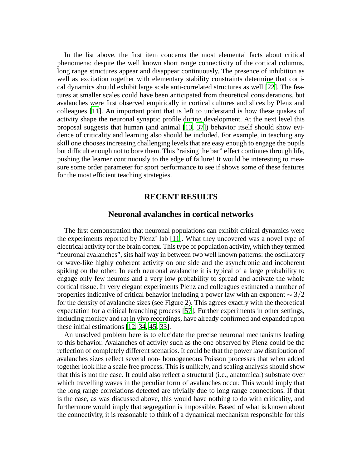In the list above, the first item concerns the most elemental facts about critical phenomena: despite the well known short range connectivity of the cortical columns, long range structures appear and disappear continuously. The presence of inhibition as well as excitation together with elementary stability constraints determine that cortical dynamics should exhibit large scale anti-correlated structures as well [\[22\]](#page-17-7). The features at smaller scales could have been anticipated from theoretical considerations, but avalanches were first observed empirically in cortical cultures and slices by Plenz and colleagues [\[11\]](#page-16-4). An important point that is left to understand is how these quakes of activity shape the neuronal synaptic profile during development. At the next level this proposal suggests that human (and animal [\[13](#page-17-8), [37\]](#page-17-9)) behavior itself should show evidence of criticality and learning also should be included. For example, in teaching any skill one chooses increasing challenging levels that are easy enough to engage the pupils but difficult enough not to bore them. This "raising the bar" effect continues through life, pushing the learner continuously to the edge of failure! It would be interesting to measure some order parameter for sport performance to see if shows some of these features for the most efficient teaching strategies.

# **RECENT RESULTS**

#### **Neuronal avalanches in cortical networks**

The first demonstration that neuronal populations can exhibit critical dynamics were the experiments reported by Plenz' lab [\[11\]](#page-16-4). What they uncovered was a novel type of electrical activity for the brain cortex. This type of population activity, which they termed "neuronal avalanches", sits half way in between two well known patterns: the oscillatory or wave-like highly coherent activity on one side and the asynchronic and incoherent spiking on the other. In each neuronal avalanche it is typical of a large probability to engage only few neurons and a very low probability to spread and activate the whole cortical tissue. In very elegant experiments Plenz and colleagues estimated a number of properties indicative of critical behavior including a power law with an exponent ∼ 3/2 for the density of avalanche sizes (see Figure 2). This agrees exactly with the theoretical expectation for a critical branching process [\[57](#page-18-6)]. Further experiments in other settings, including monkey and rat in vivo recordings, have already confirmed and expanded upon these initial estimations [\[12,](#page-17-10) [34,](#page-17-11) [45](#page-18-7), [33](#page-17-12)].

An unsolved problem here is to elucidate the precise neuronal mechanisms leading to this behavior. Avalanches of activity such as the one observed by Plenz could be the reflection of completely different scenarios. It could be that the power law distribution of avalanches sizes reflect several non- homogeneous Poisson processes that when added together look like a scale free process. This is unlikely, and scaling analysis should show that this is not the case. It could also reflect a structural (i.e., anatomical) substrate over which travelling waves in the peculiar form of avalanches occur. This would imply that the long range correlations detected are trivially due to long range connections. If that is the case, as was discussed above, this would have nothing to do with criticality, and furthermore would imply that segregation is impossible. Based of what is known about the connectivity, it is reasonable to think of a dynamical mechanism responsible for this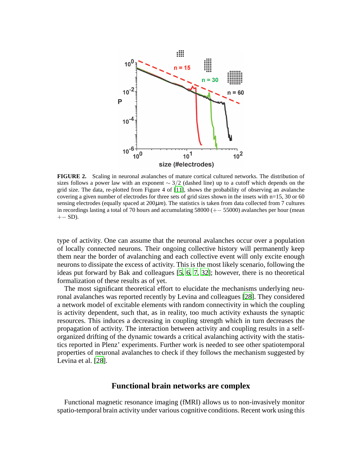

**FIGURE 2.** Scaling in neuronal avalanches of mature cortical cultured networks. The distribution of sizes follows a power law with an exponent  $\sim$  3/2 (dashed line) up to a cutoff which depends on the grid size. The data, re-plotted from Figure 4 of [\[11\]](#page-16-4), shows the probability of observing an avalanche covering a given number of electrodes for three sets of grid sizes shown in the insets with n=15, 30 or 60 sensing electrodes (equally spaced at  $200\mu$ *m*). The statistics is taken from data collected from 7 cultures in recordings lasting a total of 70 hours and accumulating  $58000 (+ - 55000)$  avalanches per hour (mean  $+-$  SD).

type of activity. One can assume that the neuronal avalanches occur over a population of locally connected neurons. Their ongoing collective history will permanently keep them near the border of avalanching and each collective event will only excite enough neurons to dissipate the excess of activity. This is the most likely scenario, following the ideas put forward by Bak and colleagues [\[5,](#page-16-0) [6](#page-16-2), [7,](#page-16-3) [32\]](#page-17-5); however, there is no theoretical formalization of these results as of yet.

The most significant theoretical effort to elucidate the mechanisms underlying neuronal avalanches was reported recently by Levina and colleagues [\[28](#page-17-13)]. They considered a network model of excitable elements with random connectivity in which the coupling is activity dependent, such that, as in reality, too much activity exhausts the synaptic resources. This induces a decreasing in coupling strength which in turn decreases the propagation of activity. The interaction between activity and coupling results in a selforganized drifting of the dynamic towards a critical avalanching activity with the statistics reported in Plenz' experiments. Further work is needed to see other spatiotemporal properties of neuronal avalanches to check if they follows the mechanism suggested by Levina et al. [\[28\]](#page-17-13).

#### **Functional brain networks are complex**

Functional magnetic resonance imaging (fMRI) allows us to non-invasively monitor spatio-temporal brain activity under various cognitive conditions. Recent work using this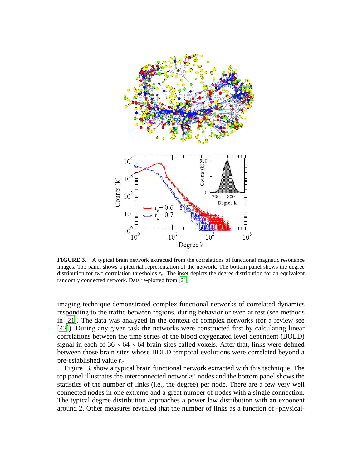

**FIGURE 3.** A typical brain network extracted from the correlations of functional magnetic resonance images. Top panel shows a pictorial representation of the network. The bottom panel shows the degree distribution for two correlation thresholds *rc*. The inset depicts the degree distribution for an equivalent randomly connected network. Data re-plotted from [\[21\]](#page-17-14).

imaging technique demonstrated complex functional networks of correlated dynamics responding to the traffic between regions, during behavior or even at rest (see methods in [\[21](#page-17-14)]. The data was analyzed in the context of complex networks (for a review see [\[42\]](#page-18-8)). During any given task the networks were constructed first by calculating linear correlations between the time series of the blood oxygenated level dependent (BOLD) signal in each of  $36 \times 64 \times 64$  brain sites called voxels. After that, links were defined between those brain sites whose BOLD temporal evolutions were correlated beyond a pre-established value *rc*.

Figure 3, show a typical brain functional network extracted with this technique. The top panel illustrates the interconnected networks' nodes and the bottom panel shows the statistics of the number of links (i.e., the degree) per node. There are a few very well connected nodes in one extreme and a great number of nodes with a single connection. The typical degree distribution approaches a power law distribution with an exponent around 2. Other measures revealed that the number of links as a function of -physical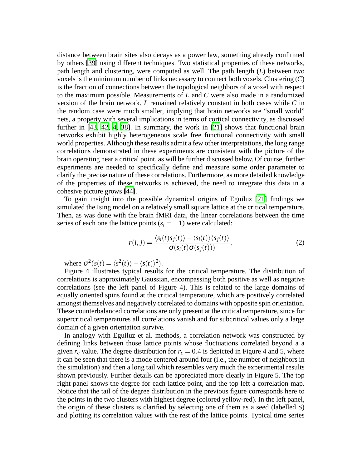distance between brain sites also decays as a power law, something already confirmed by others [\[39](#page-18-9)] using different techniques. Two statistical properties of these networks, path length and clustering, were computed as well. The path length (*L*) between two voxels is the minimum number of links necessary to connect both voxels. Clustering (*C*) is the fraction of connections between the topological neighbors of a voxel with respect to the maximum possible. Measurements of *L* and *C* were also made in a randomized version of the brain network. *L* remained relatively constant in both cases while *C* in the random case were much smaller, implying that brain networks are "small world" nets, a property with several implications in terms of cortical connectivity, as discussed further in [\[43,](#page-18-10) [42](#page-18-8), [4,](#page-16-5) [38\]](#page-17-15). In summary, the work in [\[21](#page-17-14)] shows that functional brain networks exhibit highly heterogeneous scale free functional connectivity with small world properties. Although these results admit a few other interpretations, the long range correlations demonstrated in these experiments are consistent with the picture of the brain operating near a critical point, as will be further discussed below. Of course, further experiments are needed to specifically define and measure some order parameter to clarify the precise nature of these correlations. Furthermore, as more detailed knowledge of the properties of these networks is achieved, the need to integrate this data in a cohesive picture grows [\[44](#page-18-11)].

To gain insight into the possible dynamical origins of Eguiluz [\[21\]](#page-17-14) findings we simulated the Ising model on a relatively small square lattice at the critical temperature. Then, as was done with the brain fMRI data, the linear correlations between the time series of each one the lattice points  $(s_i = \pm 1)$  were calculated:

$$
r(i,j) = \frac{\langle s_i(t)s_j(t) \rangle - \langle s_i(t) \rangle \langle s_j(t) \rangle}{\sigma(s_i(t)\sigma(s_j(t)))},
$$
\n(2)

where  $\sigma^2(s(t) = \langle s^2(t) \rangle - \langle s(t) \rangle^2)$ .

Figure 4 illustrates typical results for the critical temperature. The distribution of correlations is approximately Gaussian, encompassing both positive as well as negative correlations (see the left panel of Figure 4). This is related to the large domains of equally oriented spins found at the critical temperature, which are positively correlated amongst themselves and negatively correlated to domains with opposite spin orientation. These counterbalanced correlations are only present at the critical temperature, since for supercritical temperatures all correlations vanish and for subcritical values only a large domain of a given orientation survive.

In analogy with Eguiluz et al. methods, a correlation network was constructed by defining links between those lattice points whose fluctuations correlated beyond a a given  $r_c$  value. The degree distribution for  $r_c = 0.4$  is depicted in Figure 4 and 5, where it can be seen that there is a mode centered around four (i.e., the number of neighbors in the simulation) and then a long tail which resembles very much the experimental results shown previously. Further details can be appreciated more clearly in Figure 5. The top right panel shows the degree for each lattice point, and the top left a correlation map. Notice that the tail of the degree distribution in the previous figure corresponds here to the points in the two clusters with highest degree (colored yellow-red). In the left panel, the origin of these clusters is clarified by selecting one of them as a seed (labelled S) and plotting its correlation values with the rest of the lattice points. Typical time series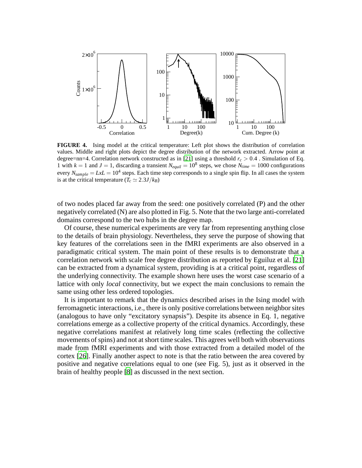

**FIGURE 4.** Ising model at the critical temperature: Left plot shows the distribution of correlation values. Middle and right plots depict the degree distribution of the network extracted. Arrow point at degree=nn=4. Correlation network constructed as in [\[21](#page-17-14)] using a threshold *r<sup>c</sup>* > 0.4 . Simulation of Eq. 1 with  $k = 1$  and  $J = 1$ , discarding a transient  $N_{equil} = 10^8$  steps, we chose  $N_{time} = 1000$  configurations every  $N_{sample} = LxL = 10^4$  steps. Each time step corresponds to a single spin flip. In all cases the system is at the critical temperature ( $T_c \simeq 2.3J/k_B$ )

of two nodes placed far away from the seed: one positively correlated (P) and the other negatively correlated (N) are also plotted in Fig. 5. Note that the two large anti-correlated domains correspond to the two hubs in the degree map.

Of course, these numerical experiments are very far from representing anything close to the details of brain physiology. Nevertheless, they serve the purpose of showing that key features of the correlations seen in the fMRI experiments are also observed in a paradigmatic critical system. The main point of these results is to demonstrate that a correlation network with scale free degree distribution as reported by Eguiluz et al. [\[21](#page-17-14)] can be extracted from a dynamical system, providing is at a critical point, regardless of the underlying connectivity. The example shown here uses the worst case scenario of a lattice with only *local* connectivity, but we expect the main conclusions to remain the same using other less ordered topologies.

It is important to remark that the dynamics described arises in the Ising model with ferromagnetic interactions, i.e., there is only positive correlations between neighbor sites (analogous to have only "excitatory synapsis"). Despite its absence in Eq. 1, negative correlations emerge as a collective property of the critical dynamics. Accordingly, these negative correlations manifest at relatively long time scales (reflecting the collective movements of spins) and not at short time scales. This agrees well both with observations made from fMRI experiments and with those extracted from a detailed model of the cortex [\[26\]](#page-17-16). Finally another aspect to note is that the ratio between the area covered by positive and negative correlations equal to one (see Fig. 5), just as it observed in the brain of healthy people [\[8](#page-16-6)] as discussed in the next section.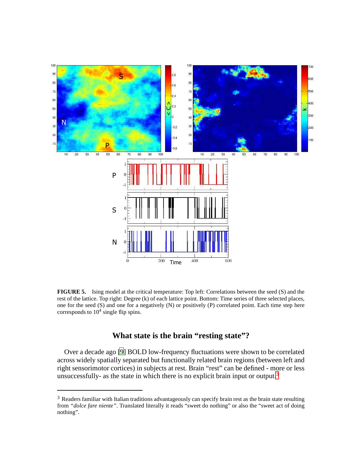

**FIGURE 5.** Ising model at the critical temperature: Top left: Correlations between the seed (S) and the rest of the lattice. Top right: Degree (k) of each lattice point. Bottom: Time series of three selected places, one for the seed (S) and one for a negatively (N) or positively (P) correlated point. Each time step here corresponds to  $10<sup>4</sup>$  single flip spins.

# **What state is the brain "resting state"?**

Over a decade ago [\[9](#page-16-7)] BOLD low-frequency fluctuations were shown to be correlated across widely spatially separated but functionally related brain regions (between left and right sensorimotor cortices) in subjects at rest. Brain "rest" can be defined - more or less unsuccessfully- as the state in which there is no explicit brain input or output.[3](#page-10-0)

<span id="page-10-0"></span><sup>&</sup>lt;sup>3</sup> Readers familiar with Italian traditions advantageously can specify brain rest as the brain state resulting from *"dolce fare niente"*. Translated literally it reads "sweet do nothing" or also the "sweet act of doing nothing".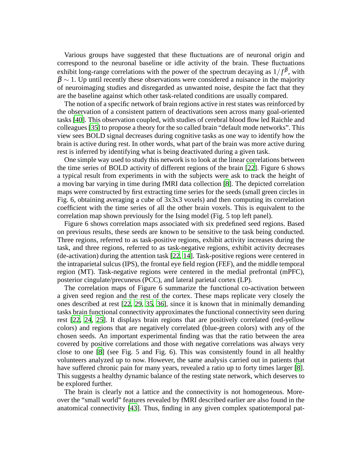Various groups have suggested that these fluctuations are of neuronal origin and correspond to the neuronal baseline or idle activity of the brain. These fluctuations exhibit long-range correlations with the power of the spectrum decaying as  $1/f^{\beta}$ , with  $\beta \sim 1$ . Up until recently these observations were considered a nuisance in the majority of neuroimaging studies and disregarded as unwanted noise, despite the fact that they are the baseline against which other task-related conditions are usually compared.

The notion of a specific network of brain regions active in rest states was reinforced by the observation of a consistent pattern of deactivations seen across many goal-oriented tasks [\[40](#page-18-12)]. This observation coupled, with studies of cerebral blood flow led Raichle and colleagues [\[35\]](#page-17-17) to propose a theory for the so called brain "default mode networks". This view sees BOLD signal decreases during cognitive tasks as one way to identify how the brain is active during rest. In other words, what part of the brain was more active during rest is inferred by identifying what is being deactivated during a given task.

One simple way used to study this network is to look at the linear correlations between the time series of BOLD activity of different regions of the brain [\[22\]](#page-17-7). Figure 6 shows a typical result from experiments in with the subjects were ask to track the height of a moving bar varying in time during fMRI data collection [\[8\]](#page-16-6). The depicted correlation maps were constructed by first extracting time series for the seeds (small green circles in Fig. 6, obtaining averaging a cube of 3x3x3 voxels) and then computing its correlation coefficient with the time series of all the other brain voxels. This is equivalent to the correlation map shown previously for the Ising model (Fig. 5 top left panel).

Figure 6 shows correlation maps associated with six predefined seed regions. Based on previous results, these seeds are known to be sensitive to the task being conducted. Three regions, referred to as task-positive regions, exhibit activity increases during the task, and three regions, referred to as task-negative regions, exhibit activity decreases (de-activation) during the attention task [\[22](#page-17-7), [14\]](#page-17-18). Task-positive regions were centered in the intraparietal sulcus (IPS), the frontal eye field region (FEF), and the middle temporal region (MT). Task-negative regions were centered in the medial prefrontal (mPFC), posterior cingulate/precuneus (PCC), and lateral parietal cortex (LP).

The correlation maps of Figure 6 summarize the functional co-activation between a given seed region and the rest of the cortex. These maps replicate very closely the ones described at rest [\[22](#page-17-7), [29,](#page-17-19) [35,](#page-17-17) [36](#page-17-20)], since it is known that in minimally demanding tasks brain functional connectivity approximates the functional connectivity seen during rest [\[22,](#page-17-7) [24,](#page-17-21) [25\]](#page-17-22). It displays brain regions that are positively correlated (red-yellow colors) and regions that are negatively correlated (blue-green colors) with any of the chosen seeds. An important experimental finding was that the ratio between the area covered by positive correlations and those with negative correlations was always very close to one [\[8\]](#page-16-6) (see Fig. 5 and Fig. 6). This was consistently found in all healthy volunteers analyzed up to now. However, the same analysis carried out in patients that have suffered chronic pain for many years, revealed a ratio up to forty times larger [\[8](#page-16-6)]. This suggests a healthy dynamic balance of the resting state network, which deserves to be explored further.

The brain is clearly not a lattice and the connectivity is not homogeneous. Moreover the "small world" features revealed by fMRI described earlier are also found in the anatomical connectivity [\[43](#page-18-10)]. Thus, finding in any given complex spatiotemporal pat-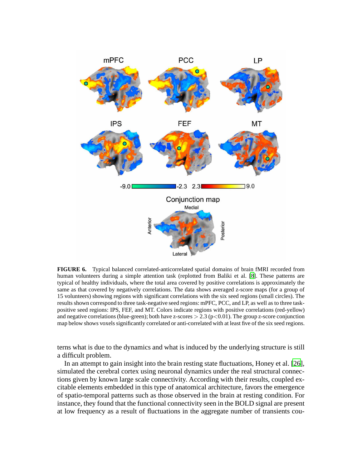

**FIGURE 6.** Typical balanced correlated-anticorrelated spatial domains of brain fMRI recorded from human volunteers during a simple attention task (replotted from Baliki et al. [\[8\]](#page-16-6). These patterns are typical of healthy individuals, where the total area covered by positive correlations is approximately the same as that covered by negatively correlations. The data shows averaged z-score maps (for a group of 15 volunteers) showing regions with significant correlations with the six seed regions (small circles). The results shown correspond to three task-negative seed regions: mPFC, PCC, and LP, as well as to three taskpositive seed regions: IPS, FEF, and MT. Colors indicate regions with positive correlations (red-yellow) and negative correlations (blue-green); both have z-scores  $> 2.3$  (p $< 0.01$ ). The group z-score conjunction map below shows voxels significantly correlated or anti-correlated with at least five of the six seed regions.

terns what is due to the dynamics and what is induced by the underlying structure is still a difficult problem.

In an attempt to gain insight into the brain resting state fluctuations, Honey et al. [\[26](#page-17-16)], simulated the cerebral cortex using neuronal dynamics under the real structural connections given by known large scale connectivity. According with their results, coupled excitable elements embedded in this type of anatomical architecture, favors the emergence of spatio-temporal patterns such as those observed in the brain at resting condition. For instance, they found that the functional connectivity seen in the BOLD signal are present at low frequency as a result of fluctuations in the aggregate number of transients cou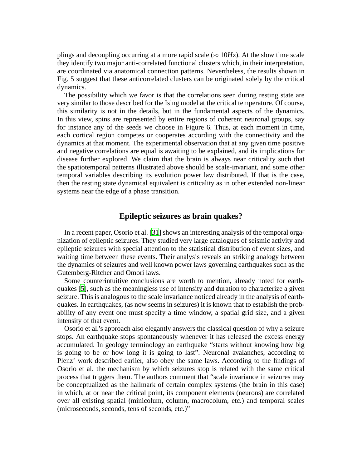plings and decoupling occurring at a more rapid scale ( $\approx 10Hz$ ). At the slow time scale they identify two major anti-correlated functional clusters which, in their interpretation, are coordinated via anatomical connection patterns. Nevertheless, the results shown in Fig. 5 suggest that these anticorrelated clusters can be originated solely by the critical dynamics.

The possibility which we favor is that the correlations seen during resting state are very similar to those described for the Ising model at the critical temperature. Of course, this similarity is not in the details, but in the fundamental aspects of the dynamics. In this view, spins are represented by entire regions of coherent neuronal groups, say for instance any of the seeds we choose in Figure 6. Thus, at each moment in time, each cortical region competes or cooperates according with the connectivity and the dynamics at that moment. The experimental observation that at any given time positive and negative correlations are equal is awaiting to be explained, and its implications for disease further explored. We claim that the brain is always near criticality such that the spatiotemporal patterns illustrated above should be scale-invariant, and some other temporal variables describing its evolution power law distributed. If that is the case, then the resting state dynamical equivalent is criticality as in other extended non-linear systems near the edge of a phase transition.

# **Epileptic seizures as brain quakes?**

In a recent paper, Osorio et al. [\[31\]](#page-17-23) shows an interesting analysis of the temporal organization of epileptic seizures. They studied very large catalogues of seismic activity and epileptic seizures with special attention to the statistical distribution of event sizes, and waiting time between these events. Their analysis reveals an striking analogy between the dynamics of seizures and well known power laws governing earthquakes such as the Gutemberg-Ritcher and Omori laws.

Some counterintuitive conclusions are worth to mention, already noted for earthquakes [\[5\]](#page-16-0), such as the meaningless use of intensity and duration to characterize a given seizure. This is analogous to the scale invariance noticed already in the analysis of earthquakes. In earthquakes, (as now seems in seizures) it is known that to establish the probability of any event one must specify a time window, a spatial grid size, and a given intensity of that event.

Osorio et al.'s approach also elegantly answers the classical question of why a seizure stops. An earthquake stops spontaneously whenever it has released the excess energy accumulated. In geology terminology an earthquake "starts without knowing how big is going to be or how long it is going to last". Neuronal avalanches, according to Plenz' work described earlier, also obey the same laws. According to the findings of Osorio et al. the mechanism by which seizures stop is related with the same critical process that triggers them. The authors comment that "scale invariance in seizures may be conceptualized as the hallmark of certain complex systems (the brain in this case) in which, at or near the critical point, its component elements (neurons) are correlated over all existing spatial (minicolum, column, macrocolum, etc.) and temporal scales (microseconds, seconds, tens of seconds, etc.)"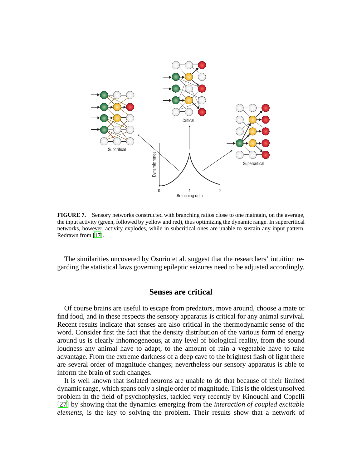

**FIGURE 7.** Sensory networks constructed with branching ratios close to one maintain, on the average, the input activity (green, followed by yellow and red), thus optimizing the dynamic range. In supercritical networks, however, activity explodes, while in subcritical ones are unable to sustain any input pattern. Redrawn from [\[17](#page-17-2)].

The similarities uncovered by Osorio et al. suggest that the researchers' intuition regarding the statistical laws governing epileptic seizures need to be adjusted accordingly.

#### **Senses are critical**

Of course brains are useful to escape from predators, move around, choose a mate or find food, and in these respects the sensory apparatus is critical for any animal survival. Recent results indicate that senses are also critical in the thermodynamic sense of the word. Consider first the fact that the density distribution of the various form of energy around us is clearly inhomogeneous, at any level of biological reality, from the sound loudness any animal have to adapt, to the amount of rain a vegetable have to take advantage. From the extreme darkness of a deep cave to the brightest flash of light there are several order of magnitude changes; nevertheless our sensory apparatus is able to inform the brain of such changes.

It is well known that isolated neurons are unable to do that because of their limited dynamic range, which spans only a single order of magnitude. This is the oldest unsolved problem in the field of psychophysics, tackled very recently by Kinouchi and Copelli [\[27\]](#page-17-24) by showing that the dynamics emerging from the *interaction of coupled excitable elements*, is the key to solving the problem. Their results show that a network of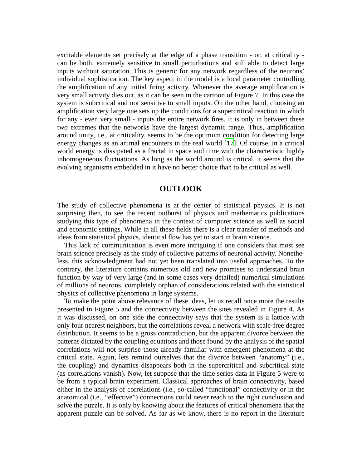excitable elements set precisely at the edge of a phase transition - or, at criticality can be both, extremely sensitive to small perturbations and still able to detect large inputs without saturation. This is generic for any network regardless of the neurons' individual sophistication. The key aspect in the model is a local parameter controlling the amplification of any initial firing activity. Whenever the average amplification is very small activity dies out, as it can be seen in the cartoon of Figure 7. In this case the system is subcritical and not sensitive to small inputs. On the other hand, choosing an amplification very large one sets up the conditions for a supercritical reaction in which for any - even very small - inputs the entire network fires. It is only in between these two extremes that the networks have the largest dynamic range. Thus, amplification around unity, i.e., at criticality, seems to be the optimum condition for detecting large energy changes as an animal encounters in the real world [\[17](#page-17-2)]. Of course, in a critical world energy is dissipated as a fractal in space and time with the characteristic highly inhomogeneous fluctuations. As long as the world around is critical, it seems that the evolving organisms embedded in it have no better choice than to be critical as well.

# **OUTLOOK**

The study of collective phenomena is at the center of statistical physics. It is not surprising then, to see the recent outburst of physics and mathematics publications studying this type of phenomena in the context of computer science as well as social and economic settings. While in all these fields there is a clear transfer of methods and ideas from statistical physics, identical flow has yet to start in brain science.

This lack of communication is even more intriguing if one considers that most see brain science precisely as the study of collective patterns of neuronal activity. Nonetheless, this acknowledgment had not yet been translated into useful approaches. To the contrary, the literature contains numerous old and new promises to understand brain function by way of very large (and in some cases very detailed) numerical simulations of millions of neurons, completely orphan of considerations related with the statistical physics of collective phenomena in large systems.

To make the point above relevance of these ideas, let us recall once more the results presented in Figure 5 and the connectivity between the sites revealed in Figure 4. As it was discussed, on one side the connectivity says that the system is a lattice with only four nearest neighbors, but the correlations reveal a network with scale-free degree distribution. It seems to be a gross contradiction, but the apparent divorce between the patterns dictated by the coupling equations and those found by the analysis of the spatial correlations will not surprise those already familiar with emergent phenomena at the critical state. Again, lets remind ourselves that the divorce between "anatomy" (i.e., the coupling) and dynamics disappears both in the supercritical and subcritical state (as correlations vanish). Now, let suppose that the time series data in Figure 5 were to be from a typical brain experiment. Classical approaches of brain connectivity, based either in the analysis of correlations (i.e., so-called "functional" connectivity or in the anatomical (i.e., "effective") connections could never reach to the right conclusion and solve the puzzle. It is only by knowing about the features of critical phenomena that the apparent puzzle can be solved. As far as we know, there is no report in the literature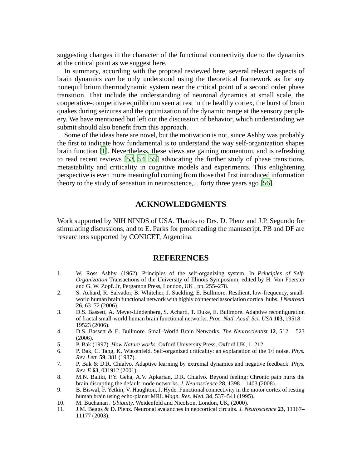suggesting changes in the character of the functional connectivity due to the dynamics at the critical point as we suggest here.

In summary, according with the proposal reviewed here, several relevant aspects of brain dynamics *can* be only understood using the theoretical framework as for any nonequilibrium thermodynamic system near the critical point of a second order phase transition. That include the understanding of neuronal dynamics at small scale, the cooperative-competitive equilibrium seen at rest in the healthy cortex, the burst of brain quakes during seizures and the optimization of the dynamic range at the sensory periphery. We have mentioned but left out the discussion of behavior, which understanding we submit should also benefit from this approach.

Some of the ideas here are novel, but the motivation is not, since Ashby was probably the first to indicate how fundamental is to understand the way self-organization shapes brain function [\[1](#page-16-8)]. Nevertheless, these views are gaining momentum, and is refreshing to read recent reviews [\[53](#page-18-13), [54,](#page-18-14) [55\]](#page-18-15) advocating the further study of phase transitions, metastability and criticality in cognitive models and experiments. This enlightening perspective is even more meaningful coming from those that first introduced information theory to the study of sensation in neuroscience,... forty three years ago [\[56\]](#page-18-16).

## **ACKNOWLEDGMENTS**

Work supported by NIH NINDS of USA. Thanks to Drs. D. Plenz and J.P. Segundo for stimulating discussions, and to E. Parks for proofreading the manuscript. PB and DF are researchers supported by CONICET, Argentina.

# **REFERENCES**

- <span id="page-16-8"></span>1. W. Ross Ashby. (1962). Principles of the self-organizing system. In *Principles of Self-Organization* Transactions of the University of Illinois Symposium, edited by H. Von Foerster and G. W. Zopf. Jr, Pergamon Press, London, UK , pp. 255–278.
- 2. S. Achard, R. Salvador, B. Whitcher, J. Suckling, E. Bullmore. Resilient, low-frequency, smallworld human brain functional network with highly connected association cortical hubs. *J Neurosci* **26**, 63–72 (2006).
- 3. D.S. Bassett, A. Meyer-Lindenberg, S. Achard, T. Duke, E. Bullmore. Adaptive reconfiguration of fractal small-world human brain functional networks. *Proc. Natl. Acad. Sci. USA* **103**, 19518 – 19523 (2006).
- <span id="page-16-5"></span>4. D.S. Bassett & E. Bullmore. Small-World Brain Networks. *The Neuroscientist* **12**, 512 – 523 (2006).
- <span id="page-16-0"></span>5. P. Bak (1997). *How Nature works.* Oxford University Press, Oxford UK, 1–212.
- <span id="page-16-2"></span>6. P. Bak, C. Tang, K. Wiesenfeld. Self-organized criticality: an explanation of the 1/f noise. *Phys. Rev. Lett.* **59**, 381 (1987).
- <span id="page-16-3"></span>7. P. Bak & D.R. Chialvo. Adaptive learning by extremal dynamics and negative feedback. *Phys. Rev. E* **63**, 031912 (2001).
- <span id="page-16-6"></span>8. M.N. Baliki, P.Y. Geha, A.V. Apkarian, D.R. Chialvo. Beyond feeling: Chronic pain hurts the brain disrupting the default mode networks. *J. Neuroscience* **28**, 1398 – 1403 (2008).
- <span id="page-16-7"></span>9. B. Biswal, F. Yetkin, V. Haughton, J. Hyde. Functional connectivity in the motor cortex of resting human brain using echo-planar MRI. *Magn. Res. Med.* **34**, 537–541 (1995).
- <span id="page-16-1"></span>10. M. Buchanan . *Ubiquity*. Weidenfeld and Nicolson. London, UK, (2000).
- <span id="page-16-4"></span>11. J.M. Beggs & D. Plenz. Neuronal avalanches in neocortical circuits. *J. Neuroscience* **23**, 11167– 11177 (2003).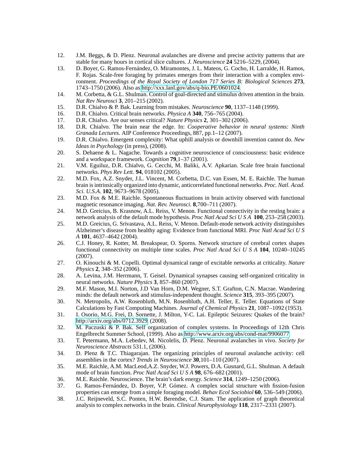- <span id="page-17-10"></span>12. J.M. Beggs, & D. Plenz. Neuronal avalanches are diverse and precise activity patterns that are stable for many hours in cortical slice cultures. *J. Neuroscience* **24** 5216–5229, (2004).
- <span id="page-17-8"></span>13. D. Boyer, G. Ramos-Fernández, O. Miramontes, J. L. Mateos, G. Cocho, H. Larralde, H. Ramos, F. Rojas. Scale-free foraging by primates emerges from their interaction with a complex environment. *Proceedings of the Royal Society of London 717 Series B: Biological Sciences* **273**, 1743–1750 (2006). Also as [http://xxx.lanl.gov/abs/q-bio.PE/0601024.](http://xxx.lanl.gov/abs/q-bio.PE/0601024)
- <span id="page-17-18"></span>14. M. Corbetta, & G.L. Shulman. Control of goal-directed and stimulus driven attention in the brain. *Nat Rev Neurosci* **3**, 201–215 (2002).
- <span id="page-17-0"></span>15. D.R. Chialvo & P. Bak. Learning from mistakes. *Neuroscience* **90**, 1137–1148 (1999).
- <span id="page-17-1"></span>16. D.R. Chialvo. Critical brain networks. *Physica A* **340**, 756–765 (2004).
- <span id="page-17-2"></span>17. D.R. Chialvo. Are our senses critical? *Nature Physics* **2**, 301–302 (2006).
- <span id="page-17-3"></span>18. D.R. Chialvo. The brain near the edge. In: *Cooperative behavior in neural systems: Ninth Granada Lectures.* AIP Conference Proceedings, 887, pp.1–12 (2007).
- <span id="page-17-4"></span>19. D.R. Chialvo. Emergent complexity: What uphill analysis or downhill invention cannot do. *New Ideas in Psychology* (in press), (2008).
- 20. S. Dehaene & L. Nagache. Towards a cognitive neuroscience of consciousness: basic evidence and a workspace framework. *Cognition* **79**,1–37 (2001).
- <span id="page-17-14"></span>21. V.M. Eguiluz, D.R. Chialvo, G. Cecchi, M. Baliki, A.V. Apkarian. Scale free brain functional networks. *Phys Rev Lett.* **94**, 018102 (2005).
- <span id="page-17-7"></span>22. M.D. Fox, A.Z. Snyder, J.L. Vincent, M. Corbetta, D.C. van Essen, M. E. Raichle. The human brain is intrinsically organized into dynamic, anticorrelated functional networks. *Proc. Natl. Acad. Sci. U.S.A.* **102**, 9673–9678 (2005).
- 23. M.D. Fox & M.E. Raichle. Spontaneous fluctuations in brain activity observed with functional magnetic resonance imaging. *Nat. Rev. Neurosci.* **8**,700–711 (2007).
- <span id="page-17-21"></span>24. M.D. Greicius, B. Krasnow, A.L. Reiss, V. Menon. Functional connectivity in the resting brain: a network analysis of the default mode hypothesis. *Proc Natl Acad Sci U S A* **100**, 253–258 (2003).
- <span id="page-17-22"></span>25. M.D. Greicius, G. Srivastava, A.L. Reiss, V. Menon. Default-mode network activity distinguishes Alzheimer's disease from healthy aging: Evidence from functional MRI. *Proc Natl Acad Sci U S A* **101**, 4637–4642 (2004).
- <span id="page-17-16"></span>26. C.J. Honey, R. Kotter, M. Breakspear, O. Sporns. Network structure of cerebral cortex shapes functional connectivity on multiple time scales. *Proc Natl Acad Sci U S A* **104**, 10240–10245 (2007).
- <span id="page-17-24"></span>27. O. Kinouchi & M. Copelli. Optimal dynamical range of excitable networks at criticality. *Nature Physics* **2**, 348–352 (2006).
- <span id="page-17-13"></span>28. A. Levina, J.M. Herrmann, T. Geisel. Dynamical synapses causing self-organized criticality in neural networks. *Nature Physics* **3**, 857–860 (2007).
- <span id="page-17-19"></span>29. M.F. Mason, M.I. Norton, J.D Van Horn, D.M. Wegner, S.T. Grafton, C.N. Macrae. Wandering minds: the default network and stimulus-independent thought. *Science* **315**, 393–395 (2007).
- <span id="page-17-6"></span>30. N. Metropolis, A.W. Rosenbluth, M.N. Rosenbluth, A.H. Teller, E. Teller. Equations of State Calculations by Fast Computing Machines. *Journal of Chemical Physics* **21**, 1087–1092 (1953).
- <span id="page-17-23"></span>31. I. Osorio, M.G. Frei, D. Sornette, J. Milton, Y-C. Lai. Epileptic Seizures: Quakes of the brain? [http://arxiv.org/abs/0712.3929,](http://arxiv.org/abs/0712.3929) (2008).
- <span id="page-17-5"></span>32. M. Paczuski & P. Bak. Self organization of complex systems. In Proceedings of 12th Chris Engelbrecht Summer School, (1999). Also as [http://www.arxiv.org/abs/cond-mat/9906077.](http://www.arxiv.org/abs/cond-mat/9906077)
- <span id="page-17-12"></span>33. T. Petermann, M.A. Lebedev, M. Nicolelis, D. Plenz. Neuronal avalanches in vivo. *Society for Neuroscience Abstracts* 531.1, (2006).
- <span id="page-17-11"></span>34. D. Plenz & T.C. Thiagarajan. The organizing principles of neuronal avalanche activity: cell assemblies in the cortex? *Trends in Neuroscience* **30**,101–110 (2007).
- <span id="page-17-17"></span>35. M.E. Raichle, A.M. MacLeod,A.Z. Snyder, W.J. Powers, D.A. Gusnard, G.L. Shulman. A default mode of brain function. *Proc Natl Acad Sci U S A* **98**, 676–682 (2001).
- <span id="page-17-20"></span>36. M.E. Raichle. Neuroscience. The brain's dark energy. *Science* **314**, 1249–1250 (2006).
- <span id="page-17-9"></span>37. G. Ramos-Fernández, D. Boyer, V.P. Gómez. A complex social structure with fission-fusion properties can emerge from a simple foraging model. *Behav Ecol Sociobiol* **60**, 536–549 (2006).
- <span id="page-17-15"></span>38. J.C. Reijneveld, S.C. Ponten, H.W. Berendse, C.J. Stam. The application of graph theoretical analysis to complex networks in the brain. *Clinical Neurophysiology* **118**, 2317–2331 (2007).